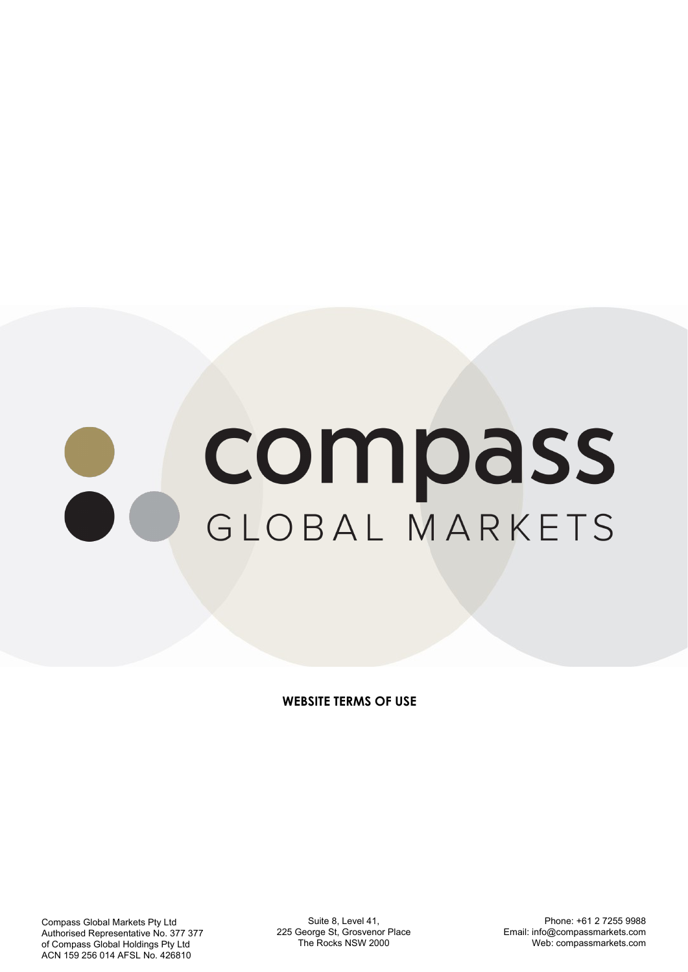# compass GLOBAL MARKETS

**WEBSITE TERMS OF USE**

Compass Global Markets Pty Ltd Authorised Representative No. 377 377 of Compass Global Holdings Pty Ltd ACN 159 256 014 AFSL No. 426810

Suite 8, Level 41, 225 George St, Grosvenor Place The Rocks NSW 2000

Phone: +61 2 7255 9988 Email: info@compassmarkets.com Web: compassmarkets.com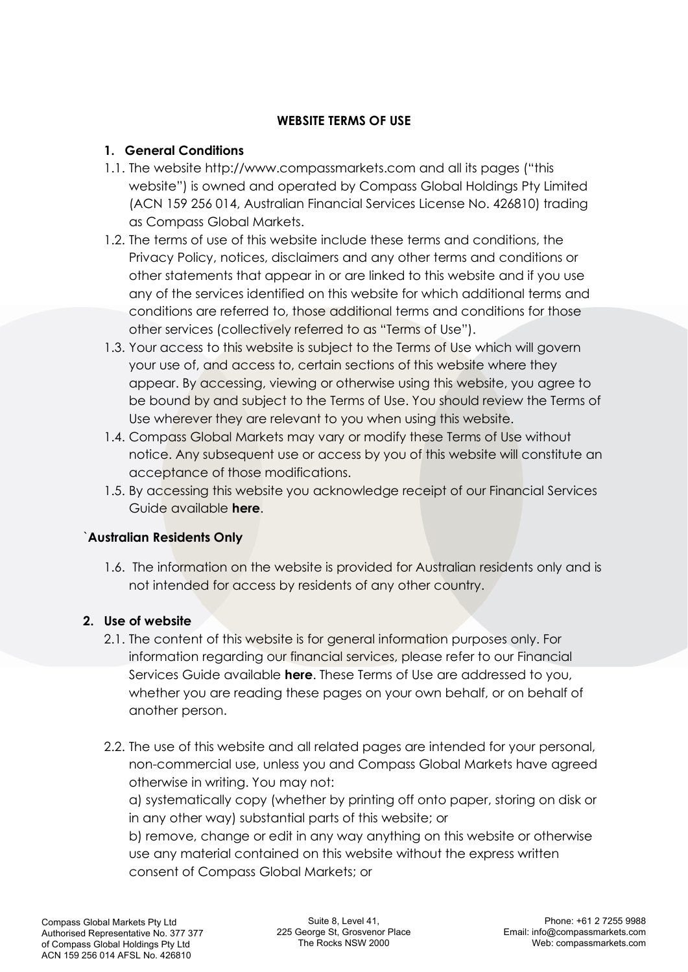## **WEBSITE TERMS OF USE**

## **1. General Conditions**

- 1.1. The website http://www.compassmarkets.com and all its pages ("this website") is owned and operated by Compass Global Holdings Pty Limited (ACN 159 256 014, Australian Financial Services License No. 426810) trading as Compass Global Markets.
- 1.2. The terms of use of this website include these terms and conditions, the Privacy Policy, notices, disclaimers and any other terms and conditions or other statements that appear in or are linked to this website and if you use any of the services identified on this website for which additional terms and conditions are referred to, those additional terms and conditions for those other services (collectively referred to as "Terms of Use").
- 1.3. Your access to this website is subject to the Terms of Use which will govern your use of, and access to, certain sections of this website where they appear. By accessing, viewing or otherwise using this website, you agree to be bound by and subject to the Terms of Use. You should review the Terms of Use wherever they are relevant to you when using this website.
- 1.4. Compass Global Markets may vary or modify these Terms of Use without notice. Any subsequent use or access by you of this website will constitute an acceptance of those modifications.
- 1.5. By accessing this website you acknowledge receipt of our Financial Services Guide available **[here](https://compassmarkets.com/wp-content/uploads/2022/03/Financial-Services-Guide.pdf)**.

## `**Australian Residents Only**

1.6. The information on the website is provided for Australian residents only and is not intended for access by residents of any other country.

# **2. Use of website**

- 2.1. The content of this website is for general information purposes only. For information regarding our financial services, please refer to our Financial Services Guide available **[here](https://compassmarkets.com/wp-content/uploads/2022/03/Financial-Services-Guide.pdf)**. These Terms of Use are addressed to you, whether you are reading these pages on your own behalf, or on behalf of another person.
- 2.2. The use of this website and all related pages are intended for your personal, non-commercial use, unless you and Compass Global Markets have agreed otherwise in writing. You may not:

a) systematically copy (whether by printing off onto paper, storing on disk or in any other way) substantial parts of this website; or

b) remove, change or edit in any way anything on this website or otherwise use any material contained on this website without the express written consent of Compass Global Markets; or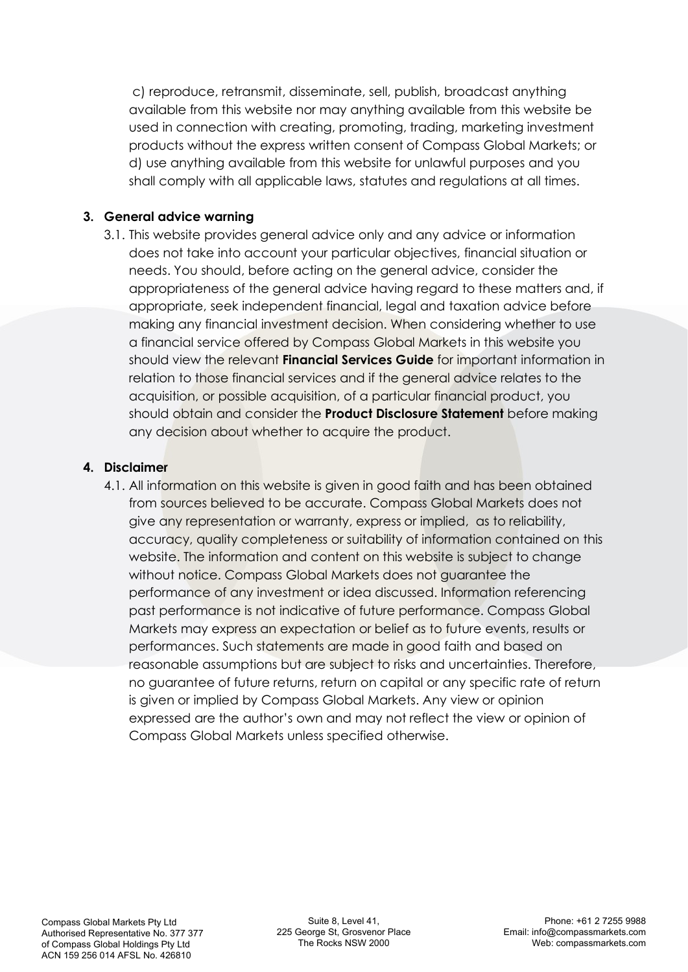c) reproduce, retransmit, disseminate, sell, publish, broadcast anything available from this website nor may anything available from this website be used in connection with creating, promoting, trading, marketing investment products without the express written consent of Compass Global Markets; or d) use anything available from this website for unlawful purposes and you shall comply with all applicable laws, statutes and regulations at all times.

#### **3. General advice warning**

3.1. This website provides general advice only and any advice or information does not take into account your particular objectives, financial situation or needs. You should, before acting on the general advice, consider the appropriateness of the general advice having regard to these matters and, if appropriate, seek independent financial, legal and taxation advice before making any financial investment decision. When considering whether to use a financial service offered by Compass Global Markets in this website you should view the relevant **[Financial Services Guide](https://compassmarkets.com/wp-content/uploads/2022/03/Financial-Services-Guide.pdf)** for important information in relation to those financial services and if the general advice relates to the acquisition, or possible acquisition, of a particular financial product, you should obtain and consider the **[Product Disclosure Statement](https://compassmarkets.com/wp-content/uploads/2022/03/Product-Disclosure-Statement.pdf)** before making any decision about whether to acquire the product.

#### **4. Disclaimer**

4.1. All information on this website is given in good faith and has been obtained from sources believed to be accurate. Compass Global Markets does not give any representation or warranty, express or implied, as to reliability, accuracy, quality completeness or suitability of information contained on this website. The information and content on this website is subject to change without notice. Compass Global Markets does not guarantee the performance of any investment or idea discussed. Information referencing past performance is not indicative of future performance. Compass Global Markets may express an expectation or belief as to future events, results or performances. Such statements are made in good faith and based on reasonable assumptions but are subject to risks and uncertainties. Therefore, no guarantee of future returns, return on capital or any specific rate of return is given or implied by Compass Global Markets. Any view or opinion expressed are the author's own and may not reflect the view or opinion of Compass Global Markets unless specified otherwise.